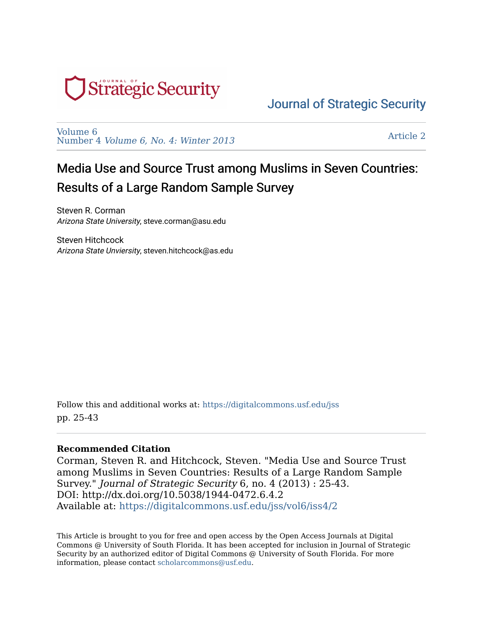

# [Journal of Strategic Security](https://digitalcommons.usf.edu/jss)

[Volume 6](https://digitalcommons.usf.edu/jss/vol6)  Number 4 [Volume 6, No. 4: Winter 2013](https://digitalcommons.usf.edu/jss/vol6/iss4)

[Article 2](https://digitalcommons.usf.edu/jss/vol6/iss4/2) 

# Media Use and Source Trust among Muslims in Seven Countries: Results of a Large Random Sample Survey

Steven R. Corman Arizona State University, steve.corman@asu.edu

Steven Hitchcock Arizona State Unviersity, steven.hitchcock@as.edu

Follow this and additional works at: [https://digitalcommons.usf.edu/jss](https://digitalcommons.usf.edu/jss?utm_source=digitalcommons.usf.edu%2Fjss%2Fvol6%2Fiss4%2F2&utm_medium=PDF&utm_campaign=PDFCoverPages) pp. 25-43

#### **Recommended Citation**

Corman, Steven R. and Hitchcock, Steven. "Media Use and Source Trust among Muslims in Seven Countries: Results of a Large Random Sample Survey." Journal of Strategic Security 6, no. 4 (2013) : 25-43. DOI: http://dx.doi.org/10.5038/1944-0472.6.4.2 Available at: [https://digitalcommons.usf.edu/jss/vol6/iss4/2](https://digitalcommons.usf.edu/jss/vol6/iss4/2?utm_source=digitalcommons.usf.edu%2Fjss%2Fvol6%2Fiss4%2F2&utm_medium=PDF&utm_campaign=PDFCoverPages)

This Article is brought to you for free and open access by the Open Access Journals at Digital Commons @ University of South Florida. It has been accepted for inclusion in Journal of Strategic Security by an authorized editor of Digital Commons @ University of South Florida. For more information, please contact [scholarcommons@usf.edu.](mailto:scholarcommons@usf.edu)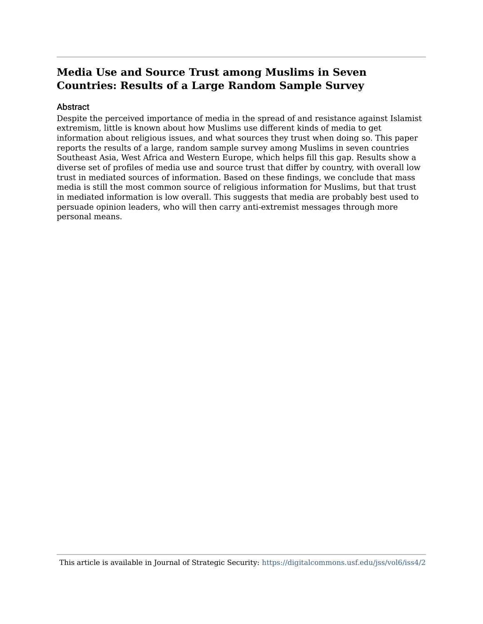# **Media Use and Source Trust among Muslims in Seven Countries: Results of a Large Random Sample Survey**

#### Abstract

Despite the perceived importance of media in the spread of and resistance against Islamist extremism, little is known about how Muslims use different kinds of media to get information about religious issues, and what sources they trust when doing so. This paper reports the results of a large, random sample survey among Muslims in seven countries Southeast Asia, West Africa and Western Europe, which helps fill this gap. Results show a diverse set of profiles of media use and source trust that differ by country, with overall low trust in mediated sources of information. Based on these findings, we conclude that mass media is still the most common source of religious information for Muslims, but that trust in mediated information is low overall. This suggests that media are probably best used to persuade opinion leaders, who will then carry anti-extremist messages through more personal means.

This article is available in Journal of Strategic Security: <https://digitalcommons.usf.edu/jss/vol6/iss4/2>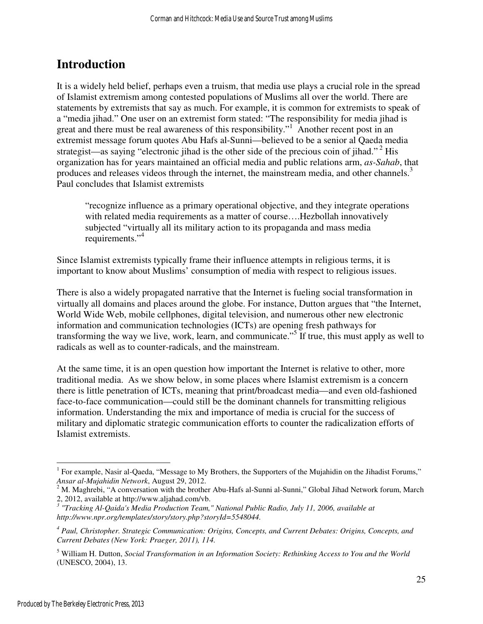# **Introduction**

It is a widely held belief, perhaps even a truism, that media use plays a crucial role in the spread of Islamist extremism among contested populations of Muslims all over the world. There are statements by extremists that say as much. For example, it is common for extremists to speak of a "media jihad." One user on an extremist form stated: "The responsibility for media jihad is great and there must be real awareness of this responsibility."<sup>1</sup> Another recent post in an extremist message forum quotes Abu Hafs al-Sunni—believed to be a senior al Qaeda media strategist—as saying "electronic jihad is the other side of the precious coin of jihad."<sup>2</sup> His organization has for years maintained an official media and public relations arm, *as-Sahab*, that produces and releases videos through the internet, the mainstream media, and other channels.<sup>3</sup> Paul concludes that Islamist extremists

"recognize influence as a primary operational objective, and they integrate operations with related media requirements as a matter of course….Hezbollah innovatively subjected "virtually all its military action to its propaganda and mass media requirements."<sup>4</sup>

Since Islamist extremists typically frame their influence attempts in religious terms, it is important to know about Muslims' consumption of media with respect to religious issues.

There is also a widely propagated narrative that the Internet is fueling social transformation in virtually all domains and places around the globe. For instance, Dutton argues that "the Internet, World Wide Web, mobile cellphones, digital television, and numerous other new electronic information and communication technologies (ICTs) are opening fresh pathways for transforming the way we live, work, learn, and communicate."<sup>5</sup> If true, this must apply as well to radicals as well as to counter-radicals, and the mainstream.

At the same time, it is an open question how important the Internet is relative to other, more traditional media. As we show below, in some places where Islamist extremism is a concern there is little penetration of ICTs, meaning that print/broadcast media—and even old-fashioned face-to-face communication—could still be the dominant channels for transmitting religious information. Understanding the mix and importance of media is crucial for the success of military and diplomatic strategic communication efforts to counter the radicalization efforts of Islamist extremists.

-

<sup>&</sup>lt;sup>1</sup> For example, Nasir al-Qaeda, "Message to My Brothers, the Supporters of the Mujahidin on the Jihadist Forums," *Ansar al-Mujahidin Network*, August 29, 2012.

 $2<sup>2</sup>$  M. Maghrebi, "A conversation with the brother Abu-Hafs al-Sunni al-Sunni," Global Jihad Network forum, March 2, 2012, available at http://www.aljahad.com/vb.

<sup>&</sup>lt;sup>3</sup> "Tracking Al-Qaida's Media Production Team," National Public Radio, July 11, 2006, available at *http://www.npr.org/templates/story/story.php?storyId=5548044.*

<sup>&</sup>lt;sup>4</sup> Paul, Christopher. Strategic Communication: Origins, Concepts, and Current Debates: Origins, Concepts, and *Current Debates (New York: Praeger, 2011), 114.*

<sup>5</sup> William H. Dutton, *Social Transformation in an Information Society: Rethinking Access to You and the World* (UNESCO, 2004), 13.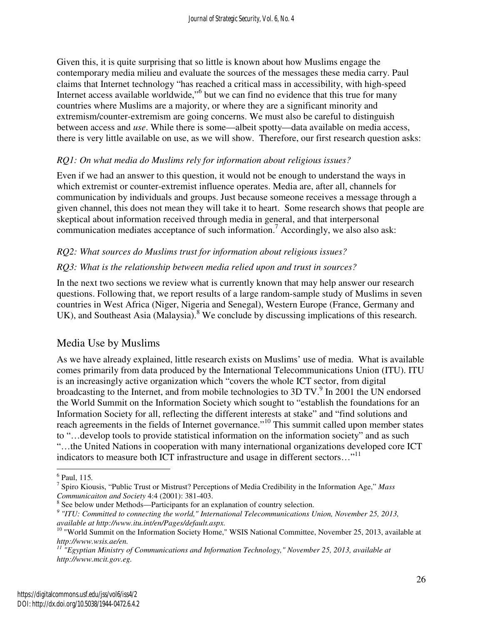Given this, it is quite surprising that so little is known about how Muslims engage the contemporary media milieu and evaluate the sources of the messages these media carry. Paul claims that Internet technology "has reached a critical mass in accessibility, with high-speed Internet access available worldwide,"<sup>6</sup> but we can find no evidence that this true for many countries where Muslims are a majority, or where they are a significant minority and extremism/counter-extremism are going concerns. We must also be careful to distinguish between access and *use*. While there is some—albeit spotty—data available on media access, there is very little available on use, as we will show. Therefore, our first research question asks:

#### *RQ1: On what media do Muslims rely for information about religious issues?*

Even if we had an answer to this question, it would not be enough to understand the ways in which extremist or counter-extremist influence operates. Media are, after all, channels for communication by individuals and groups. Just because someone receives a message through a given channel, this does not mean they will take it to heart. Some research shows that people are skeptical about information received through media in general, and that interpersonal communication mediates acceptance of such information.<sup>7</sup> Accordingly, we also also ask:

#### *RQ2: What sources do Muslims trust for information about religious issues?*

#### *RQ3: What is the relationship between media relied upon and trust in sources?*

In the next two sections we review what is currently known that may help answer our research questions. Following that, we report results of a large random-sample study of Muslims in seven countries in West Africa (Niger, Nigeria and Senegal), Western Europe (France, Germany and UK), and Southeast Asia (Malaysia).<sup>8</sup> We conclude by discussing implications of this research.

## Media Use by Muslims

As we have already explained, little research exists on Muslims' use of media. What is available comes primarily from data produced by the International Telecommunications Union (ITU). ITU is an increasingly active organization which "covers the whole ICT sector, from digital broadcasting to the Internet, and from mobile technologies to 3D TV.<sup>9</sup> In 2001 the UN endorsed the World Summit on the Information Society which sought to "establish the foundations for an Information Society for all, reflecting the different interests at stake" and "find solutions and reach agreements in the fields of Internet governance."<sup>10</sup> This summit called upon member states to "…develop tools to provide statistical information on the information society" and as such "…the United Nations in cooperation with many international organizations developed core ICT indicators to measure both ICT infrastructure and usage in different sectors..."<sup>11</sup>

 $\overline{a}$ 

<sup>6</sup> Paul, 115*.*

<sup>7</sup> Spiro Kiousis, "Public Trust or Mistrust? Perceptions of Media Credibility in the Information Age," *Mass Communicaiton and Society* 4:4 (2001): 381-403.

<sup>&</sup>lt;sup>8</sup> See below under Methods—Participants for an explanation of country selection.

<sup>&</sup>lt;sup>9</sup> "ITU: Committed to connecting the world," International Telecommunications Union, November 25, 2013, *available at http://www.itu.int/en/Pages/default.aspx.* 

<sup>&</sup>lt;sup>10</sup> "World Summit on the Information Society Home," WSIS National Committee, November 25, 2013, available at *http://www.wsis.ae/en.*

*<sup>11</sup> "Egyptian Ministry of Communications and Information Technology," November 25, 2013, available at http://www.mcit.gov.eg.*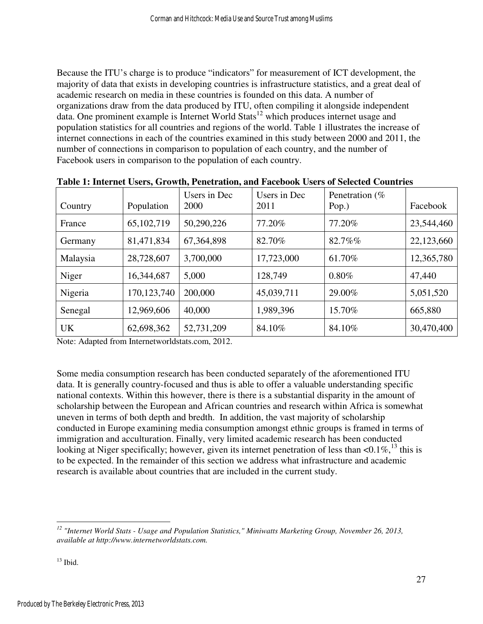Because the ITU's charge is to produce "indicators" for measurement of ICT development, the majority of data that exists in developing countries is infrastructure statistics, and a great deal of academic research on media in these countries is founded on this data. A number of organizations draw from the data produced by ITU, often compiling it alongside independent data. One prominent example is Internet World Stats<sup>12</sup> which produces internet usage and population statistics for all countries and regions of the world. Table 1 illustrates the increase of internet connections in each of the countries examined in this study between 2000 and 2011, the number of connections in comparison to population of each country, and the number of Facebook users in comparison to the population of each country.

| Country   | Population    | Users in Dec<br>2000 | Users in Dec<br>2011 | Penetration $(\%$<br>Pop.) | Facebook   |
|-----------|---------------|----------------------|----------------------|----------------------------|------------|
| France    | 65,102,719    | 50,290,226           | 77.20%               | 77.20%                     | 23,544,460 |
| Germany   | 81,471,834    | 67,364,898           | 82.70%               | 82.7%%                     | 22,123,660 |
| Malaysia  | 28,728,607    | 3,700,000            | 17,723,000           | 61.70%                     | 12,365,780 |
| Niger     | 16,344,687    | 5,000                | 128,749              | 0.80%                      | 47,440     |
| Nigeria   | 170, 123, 740 | 200,000              | 45,039,711           | 29.00%                     | 5,051,520  |
| Senegal   | 12,969,606    | 40,000               | 1,989,396            | 15.70%                     | 665,880    |
| <b>UK</b> | 62,698,362    | 52,731,209           | 84.10%               | 84.10%                     | 30,470,400 |

**Table 1: Internet Users, Growth, Penetration, and Facebook Users of Selected Countries** 

Note: Adapted from Internetworldstats.com, 2012.

Some media consumption research has been conducted separately of the aforementioned ITU data. It is generally country-focused and thus is able to offer a valuable understanding specific national contexts. Within this however, there is there is a substantial disparity in the amount of scholarship between the European and African countries and research within Africa is somewhat uneven in terms of both depth and bredth. In addition, the vast majority of scholarship conducted in Europe examining media consumption amongst ethnic groups is framed in terms of immigration and acculturation. Finally, very limited academic research has been conducted looking at Niger specifically; however, given its internet penetration of less than  $\langle 0.1\% \rangle^{13}$  this is to be expected. In the remainder of this section we address what infrastructure and academic research is available about countries that are included in the current study.

l

*<sup>12</sup> "Internet World Stats - Usage and Population Statistics," Miniwatts Marketing Group, November 26, 2013, available at http://www.internetworldstats.com.* 

 $13$  Ibid.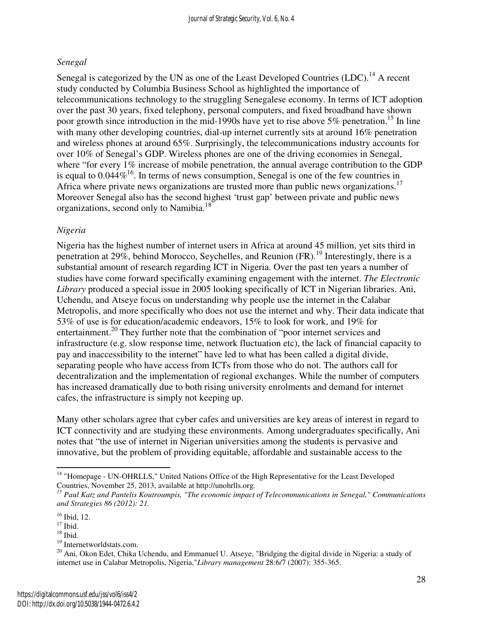#### *Senegal*

Senegal is categorized by the UN as one of the Least Developed Countries (LDC).<sup>14</sup> A recent study conducted by Columbia Business School as highlighted the importance of telecommunications technology to the struggling Senegalese economy. In terms of ICT adoption over the past 30 years, fixed telephony, personal computers, and fixed broadband have shown poor growth since introduction in the mid-1990s have yet to rise above  $5\%$  penetration.<sup>15</sup> In line with many other developing countries, dial-up internet currently sits at around 16% penetration and wireless phones at around 65%. Surprisingly, the telecommunications industry accounts for over 10% of Senegal's GDP. Wireless phones are one of the driving economies in Senegal, where "for every 1% increase of mobile penetration, the annual average contribution to the GDP is equal to  $0.044\%$ <sup>16</sup>. In terms of news consumption, Senegal is one of the few countries in Africa where private news organizations are trusted more than public news organizations.<sup>17</sup> Moreover Senegal also has the second highest 'trust gap' between private and public news organizations, second only to Namibia.<sup>18</sup>

#### *Nigeria*

Nigeria has the highest number of internet users in Africa at around 45 million, yet sits third in penetration at 29%, behind Morocco, Seychelles, and Reunion  $(FR)$ .<sup>19</sup> Interestingly, there is a substantial amount of research regarding ICT in Nigeria. Over the past ten years a number of studies have come forward specifically examining engagement with the internet. *The Electronic Library* produced a special issue in 2005 looking specifically of ICT in Nigerian libraries. Ani, Uchendu, and Atseye focus on understanding why people use the internet in the Calabar Metropolis, and more specifically who does not use the internet and why. Their data indicate that 53% of use is for education/academic endeavors, 15% to look for work, and 19% for entertainment.<sup>20</sup> They further note that the combination of "poor internet services and infrastructure (e.g. slow response time, network fluctuation etc), the lack of financial capacity to pay and inaccessibility to the internet" have led to what has been called a digital divide, separating people who have access from ICTs from those who do not. The authors call for decentralization and the implementation of regional exchanges. While the number of computers has increased dramatically due to both rising university enrolments and demand for internet cafes, the infrastructure is simply not keeping up.

Many other scholars agree that cyber cafes and universities are key areas of interest in regard to ICT connectivity and are studying these environments. Among undergraduates specifically, Ani notes that "the use of internet in Nigerian universities among the students is pervasive and innovative, but the problem of providing equitable, affordable and sustainable access to the

l

<sup>&</sup>lt;sup>14</sup> "Homepage - UN-OHRLLS," United Nations Office of the High Representative for the Least Developed Countries, November 25, 2013, available at http://unohrlls.org.

*<sup>15</sup> Paul Katz and Pantelis Koutroumpis, "The economic impact of Telecommunications in Senegal," Communications and Strategies 86 (2012): 21.* 

<sup>&</sup>lt;sup>16</sup> Ibid, 12.

 $17$  Ibid.

 $18$  Ibid.

<sup>&</sup>lt;sup>19</sup> Internetworldstats.com.

<sup>&</sup>lt;sup>20</sup> Ani, Okon Edet, Chika Uchendu, and Emmanuel U. Atseye, "Bridging the digital divide in Nigeria: a study of internet use in Calabar Metropolis, Nigeria,"*Library management* 28:6/7 (2007): 355-365.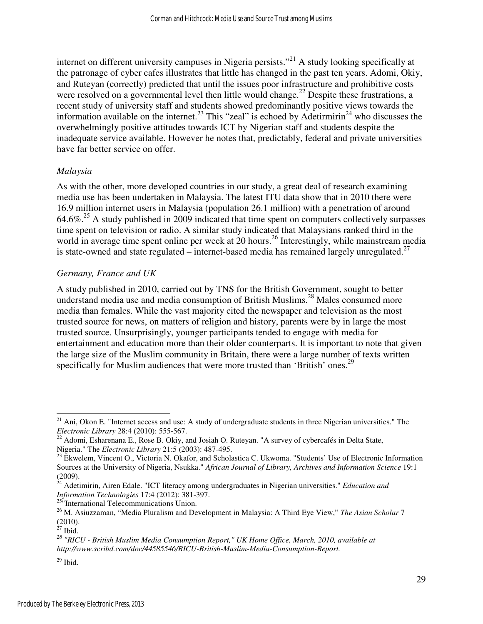internet on different university campuses in Nigeria persists."<sup>21</sup> A study looking specifically at the patronage of cyber cafes illustrates that little has changed in the past ten years. Adomi, Okiy, and Ruteyan (correctly) predicted that until the issues poor infrastructure and prohibitive costs were resolved on a governmental level then little would change.<sup>22</sup> Despite these frustrations, a recent study of university staff and students showed predominantly positive views towards the information available on the internet.<sup>23</sup> This "zeal" is echoed by Adetirmirin<sup>24</sup> who discusses the overwhelmingly positive attitudes towards ICT by Nigerian staff and students despite the inadequate service available. However he notes that, predictably, federal and private universities have far better service on offer.

#### *Malaysia*

As with the other, more developed countries in our study, a great deal of research examining media use has been undertaken in Malaysia. The latest ITU data show that in 2010 there were 16.9 million internet users in Malaysia (population 26.1 million) with a penetration of around 64.6%.<sup>25</sup> A study published in 2009 indicated that time spent on computers collectively surpasses time spent on television or radio. A similar study indicated that Malaysians ranked third in the world in average time spent online per week at 20 hours.<sup>26</sup> Interestingly, while mainstream media is state-owned and state regulated – internet-based media has remained largely unregulated.<sup>27</sup>

#### *Germany, France and UK*

A study published in 2010, carried out by TNS for the British Government, sought to better understand media use and media consumption of British Muslims.<sup>28</sup> Males consumed more media than females. While the vast majority cited the newspaper and television as the most trusted source for news, on matters of religion and history, parents were by in large the most trusted source. Unsurprisingly, younger participants tended to engage with media for entertainment and education more than their older counterparts. It is important to note that given the large size of the Muslim community in Britain, there were a large number of texts written specifically for Muslim audiences that were more trusted than 'British' ones.<sup>29</sup>

<sup>25"</sup>International Telecommunications Union.

l

 $21$  Ani, Okon E. "Internet access and use: A study of undergraduate students in three Nigerian universities." The *Electronic Library* 28:4 (2010): 555-567.

 $^{22}$  Adomi, Esharenana E., Rose B. Okiy, and Josiah O. Ruteyan. "A survey of cybercafés in Delta State, Nigeria." The *Electronic Library* 21:5 (2003): 487-495.

<sup>&</sup>lt;sup>23</sup> Ekwelem, Vincent O., Victoria N. Okafor, and Scholastica C. Ukwoma. "Students' Use of Electronic Information Sources at the University of Nigeria, Nsukka." *African Journal of Library, Archives and Information Science* 19:1 (2009).

<sup>24</sup> Adetimirin, Airen Edale. "ICT literacy among undergraduates in Nigerian universities." *Education and Information Technologies* 17:4 (2012): 381-397.

<sup>26</sup> M. Asiuzzaman, "Media Pluralism and Development in Malaysia: A Third Eye View," *The Asian Scholar* 7 (2010).

 $27$  Ibid.

*<sup>28</sup> "RICU - British Muslim Media Consumption Report," UK Home Office, March, 2010, available at http://www.scribd.com/doc/44585546/RICU-British-Muslim-Media-Consumption-Report.*

 $29$  Ibid.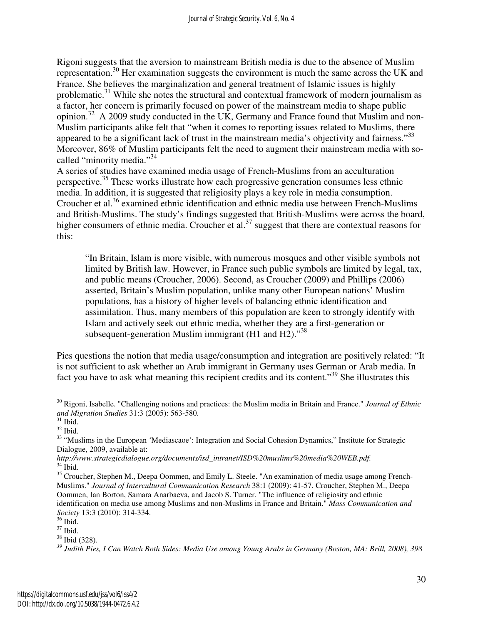Rigoni suggests that the aversion to mainstream British media is due to the absence of Muslim representation.<sup>30</sup> Her examination suggests the environment is much the same across the UK and France. She believes the marginalization and general treatment of Islamic issues is highly problematic.<sup>31</sup> While she notes the structural and contextual framework of modern journalism as a factor, her concern is primarily focused on power of the mainstream media to shape public opinion.<sup>32</sup> A 2009 study conducted in the UK, Germany and France found that Muslim and non-Muslim participants alike felt that "when it comes to reporting issues related to Muslims, there appeared to be a significant lack of trust in the mainstream media's objectivity and fairness."<sup>33</sup> Moreover, 86% of Muslim participants felt the need to augment their mainstream media with socalled "minority media."<sup>34</sup>

A series of studies have examined media usage of French-Muslims from an acculturation perspective.<sup>35</sup> These works illustrate how each progressive generation consumes less ethnic media. In addition, it is suggested that religiosity plays a key role in media consumption. Croucher et al.<sup>36</sup> examined ethnic identification and ethnic media use between French-Muslims and British-Muslims. The study's findings suggested that British-Muslims were across the board, higher consumers of ethnic media. Croucher et al.<sup>37</sup> suggest that there are contextual reasons for this:

"In Britain, Islam is more visible, with numerous mosques and other visible symbols not limited by British law. However, in France such public symbols are limited by legal, tax, and public means (Croucher, 2006). Second, as Croucher (2009) and Phillips (2006) asserted, Britain's Muslim population, unlike many other European nations' Muslim populations, has a history of higher levels of balancing ethnic identification and assimilation. Thus, many members of this population are keen to strongly identify with Islam and actively seek out ethnic media, whether they are a first-generation or subsequent-generation Muslim immigrant (H1 and H2). $^{38}$ 

Pies questions the notion that media usage/consumption and integration are positively related: "It is not sufficient to ask whether an Arab immigrant in Germany uses German or Arab media. In fact you have to ask what meaning this recipient credits and its content."<sup>39</sup> She illustrates this

<u>.</u>

<sup>30</sup> Rigoni, Isabelle. "Challenging notions and practices: the Muslim media in Britain and France." *Journal of Ethnic and Migration Studies* 31:3 (2005): 563-580.

 $31$  Ibid.

 $^{32}$  Ibid.

<sup>&</sup>lt;sup>33</sup> "Muslims in the European 'Mediascaoe': Integration and Social Cohesion Dynamics," Institute for Strategic Dialogue, 2009, available at:

*http://www.strategicdialogue.org/documents/isd\_intranet/ISD%20muslims%20media%20WEB.pdf.*  $34$  Ibid.

<sup>&</sup>lt;sup>35</sup> Croucher, Stephen M., Deepa Oommen, and Emily L. Steele. "An examination of media usage among French-Muslims." *Journal of Intercultural Communication Research* 38:1 (2009): 41-57. Croucher, Stephen M., Deepa Oommen, Ian Borton, Samara Anarbaeva, and Jacob S. Turner. "The influence of religiosity and ethnic identification on media use among Muslims and non-Muslims in France and Britain." *Mass Communication and Society* 13:3 (2010): 314-334.

<sup>36</sup> Ibid.

<sup>37</sup> Ibid.

<sup>38</sup> Ibid (328).

*<sup>39</sup> Judith Pies, I Can Watch Both Sides: Media Use among Young Arabs in Germany (Boston, MA: Brill, 2008), 398*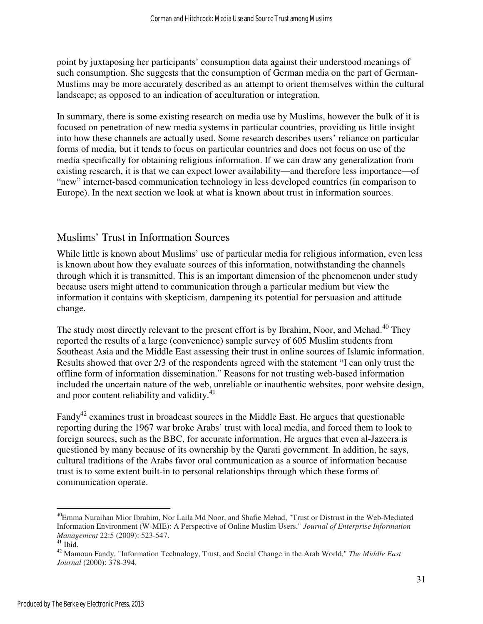point by juxtaposing her participants' consumption data against their understood meanings of such consumption. She suggests that the consumption of German media on the part of German-Muslims may be more accurately described as an attempt to orient themselves within the cultural landscape; as opposed to an indication of acculturation or integration.

In summary, there is some existing research on media use by Muslims, however the bulk of it is focused on penetration of new media systems in particular countries, providing us little insight into how these channels are actually used. Some research describes users' reliance on particular forms of media, but it tends to focus on particular countries and does not focus on use of the media specifically for obtaining religious information. If we can draw any generalization from existing research, it is that we can expect lower availability—and therefore less importance—of "new" internet-based communication technology in less developed countries (in comparison to Europe). In the next section we look at what is known about trust in information sources.

## Muslims' Trust in Information Sources

While little is known about Muslims' use of particular media for religious information, even less is known about how they evaluate sources of this information, notwithstanding the channels through which it is transmitted. This is an important dimension of the phenomenon under study because users might attend to communication through a particular medium but view the information it contains with skepticism, dampening its potential for persuasion and attitude change.

The study most directly relevant to the present effort is by Ibrahim, Noor, and Mehad.<sup>40</sup> They reported the results of a large (convenience) sample survey of 605 Muslim students from Southeast Asia and the Middle East assessing their trust in online sources of Islamic information. Results showed that over 2/3 of the respondents agreed with the statement "I can only trust the offline form of information dissemination." Reasons for not trusting web-based information included the uncertain nature of the web, unreliable or inauthentic websites, poor website design, and poor content reliability and validity. $41$ 

Fandy<sup>42</sup> examines trust in broadcast sources in the Middle East. He argues that questionable reporting during the 1967 war broke Arabs' trust with local media, and forced them to look to foreign sources, such as the BBC, for accurate information. He argues that even al-Jazeera is questioned by many because of its ownership by the Qarati government. In addition, he says, cultural traditions of the Arabs favor oral communication as a source of information because trust is to some extent built-in to personal relationships through which these forms of communication operate.

<u>.</u>

<sup>40</sup>Emma Nuraihan Mior Ibrahim, Nor Laila Md Noor, and Shafie Mehad, "Trust or Distrust in the Web-Mediated Information Environment (W-MIE): A Perspective of Online Muslim Users." *Journal of Enterprise Information Management* 22:5 (2009): 523-547.

 $41$  Ibid.

<sup>42</sup> Mamoun Fandy, "Information Technology, Trust, and Social Change in the Arab World," *The Middle East Journal* (2000): 378-394.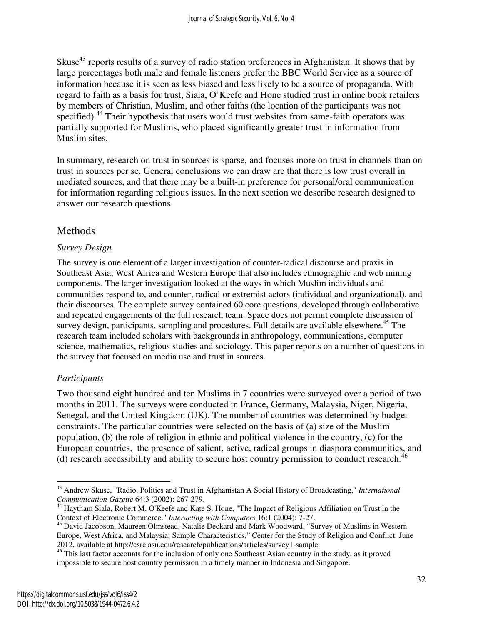Skuse<sup>43</sup> reports results of a survey of radio station preferences in Afghanistan. It shows that by large percentages both male and female listeners prefer the BBC World Service as a source of information because it is seen as less biased and less likely to be a source of propaganda. With regard to faith as a basis for trust, Siala, O'Keefe and Hone studied trust in online book retailers by members of Christian, Muslim, and other faiths (the location of the participants was not specified).<sup>44</sup> Their hypothesis that users would trust websites from same-faith operators was partially supported for Muslims, who placed significantly greater trust in information from Muslim sites.

In summary, research on trust in sources is sparse, and focuses more on trust in channels than on trust in sources per se. General conclusions we can draw are that there is low trust overall in mediated sources, and that there may be a built-in preference for personal/oral communication for information regarding religious issues. In the next section we describe research designed to answer our research questions.

## Methods

#### *Survey Design*

The survey is one element of a larger investigation of counter-radical discourse and praxis in Southeast Asia, West Africa and Western Europe that also includes ethnographic and web mining components. The larger investigation looked at the ways in which Muslim individuals and communities respond to, and counter, radical or extremist actors (individual and organizational), and their discourses. The complete survey contained 60 core questions, developed through collaborative and repeated engagements of the full research team. Space does not permit complete discussion of survey design, participants, sampling and procedures. Full details are available elsewhere.<sup>45</sup> The research team included scholars with backgrounds in anthropology, communications, computer science, mathematics, religious studies and sociology. This paper reports on a number of questions in the survey that focused on media use and trust in sources.

#### *Participants*

 $\overline{a}$ 

Two thousand eight hundred and ten Muslims in 7 countries were surveyed over a period of two months in 2011. The surveys were conducted in France, Germany, Malaysia, Niger, Nigeria, Senegal, and the United Kingdom (UK). The number of countries was determined by budget constraints. The particular countries were selected on the basis of (a) size of the Muslim population, (b) the role of religion in ethnic and political violence in the country, (c) for the European countries, the presence of salient, active, radical groups in diaspora communities, and (d) research accessibility and ability to secure host country permission to conduct research.<sup>46</sup>

<sup>43</sup> Andrew Skuse, "Radio, Politics and Trust in Afghanistan A Social History of Broadcasting," *International Communication Gazette* 64:3 (2002): 267-279.

<sup>44</sup> Haytham Siala, Robert M. O'Keefe and Kate S. Hone, "The Impact of Religious Affiliation on Trust in the Context of Electronic Commerce." *Interacting with Computers* 16:1 (2004): 7-27.

<sup>&</sup>lt;sup>45</sup> David Jacobson, Maureen Olmstead, Natalie Deckard and Mark Woodward, "Survey of Muslims in Western Europe, West Africa, and Malaysia: Sample Characteristics," Center for the Study of Religion and Conflict, June 2012, available at http://csrc.asu.edu/research/publications/articles/survey1-sample.

<sup>&</sup>lt;sup>46</sup> This last factor accounts for the inclusion of only one Southeast Asian country in the study, as it proved impossible to secure host country permission in a timely manner in Indonesia and Singapore.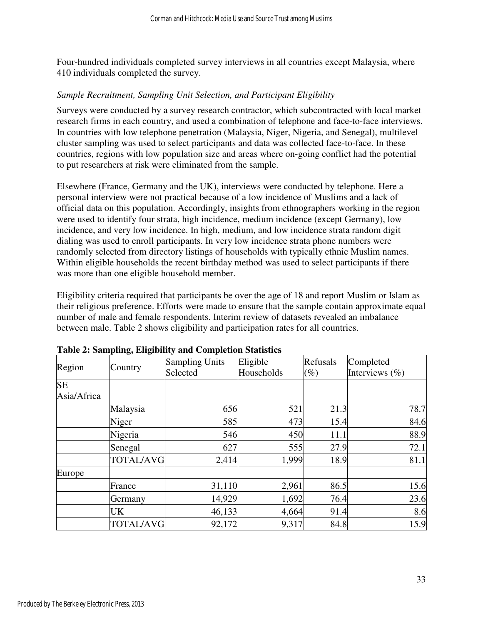Four-hundred individuals completed survey interviews in all countries except Malaysia, where 410 individuals completed the survey.

#### *Sample Recruitment, Sampling Unit Selection, and Participant Eligibility*

Surveys were conducted by a survey research contractor, which subcontracted with local market research firms in each country, and used a combination of telephone and face-to-face interviews. In countries with low telephone penetration (Malaysia, Niger, Nigeria, and Senegal), multilevel cluster sampling was used to select participants and data was collected face-to-face. In these countries, regions with low population size and areas where on-going conflict had the potential to put researchers at risk were eliminated from the sample.

Elsewhere (France, Germany and the UK), interviews were conducted by telephone. Here a personal interview were not practical because of a low incidence of Muslims and a lack of official data on this population. Accordingly, insights from ethnographers working in the region were used to identify four strata, high incidence, medium incidence (except Germany), low incidence, and very low incidence. In high, medium, and low incidence strata random digit dialing was used to enroll participants. In very low incidence strata phone numbers were randomly selected from directory listings of households with typically ethnic Muslim names. Within eligible households the recent birthday method was used to select participants if there was more than one eligible household member.

Eligibility criteria required that participants be over the age of 18 and report Muslim or Islam as their religious preference. Efforts were made to ensure that the sample contain approximate equal number of male and female respondents. Interim review of datasets revealed an imbalance between male. Table 2 shows eligibility and participation rates for all countries.

| Region                   | Country          | <b>Sampling Units</b><br>Selected | Eligible<br>Households | Refusals<br>$(\%)$ | Completed<br>Interviews $(\% )$ |
|--------------------------|------------------|-----------------------------------|------------------------|--------------------|---------------------------------|
| <b>SE</b><br>Asia/Africa |                  |                                   |                        |                    |                                 |
|                          | Malaysia         | 656                               | 521                    | 21.3               | 78.7                            |
|                          | Niger            | 585                               | 473                    | 15.4               | 84.6                            |
|                          | Nigeria          | 546                               | 450                    | 11.1               | 88.9                            |
|                          | Senegal          | 627                               | 555                    | 27.9               | 72.1                            |
|                          | <b>TOTAL/AVG</b> | 2,414                             | 1,999                  | 18.9               | 81.1                            |
| Europe                   |                  |                                   |                        |                    |                                 |
|                          | France           | 31,110                            | 2,961                  | 86.5               | 15.6                            |
|                          | Germany          | 14,929                            | 1,692                  | 76.4               | 23.6                            |
|                          | UK               | 46,133                            | 4,664                  | 91.4               | 8.6                             |
|                          | <b>TOTAL/AVG</b> | 92,172                            | 9,317                  | 84.8               | 15.9                            |

| Table 2: Sampling, Eligibility and Completion Statistics |  |  |  |
|----------------------------------------------------------|--|--|--|
|----------------------------------------------------------|--|--|--|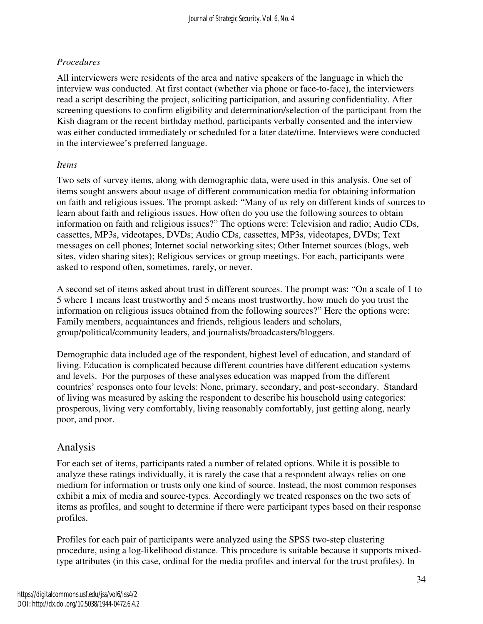## *Procedures*

All interviewers were residents of the area and native speakers of the language in which the interview was conducted. At first contact (whether via phone or face-to-face), the interviewers read a script describing the project, soliciting participation, and assuring confidentiality. After screening questions to confirm eligibility and determination/selection of the participant from the Kish diagram or the recent birthday method, participants verbally consented and the interview was either conducted immediately or scheduled for a later date/time. Interviews were conducted in the interviewee's preferred language.

#### *Items*

Two sets of survey items, along with demographic data, were used in this analysis. One set of items sought answers about usage of different communication media for obtaining information on faith and religious issues. The prompt asked: "Many of us rely on different kinds of sources to learn about faith and religious issues. How often do you use the following sources to obtain information on faith and religious issues?" The options were: Television and radio; Audio CDs, cassettes, MP3s, videotapes, DVDs; Audio CDs, cassettes, MP3s, videotapes, DVDs; Text messages on cell phones; Internet social networking sites; Other Internet sources (blogs, web sites, video sharing sites); Religious services or group meetings. For each, participants were asked to respond often, sometimes, rarely, or never.

A second set of items asked about trust in different sources. The prompt was: "On a scale of 1 to 5 where 1 means least trustworthy and 5 means most trustworthy, how much do you trust the information on religious issues obtained from the following sources?" Here the options were: Family members, acquaintances and friends, religious leaders and scholars, group/political/community leaders, and journalists/broadcasters/bloggers.

Demographic data included age of the respondent, highest level of education, and standard of living. Education is complicated because different countries have different education systems and levels. For the purposes of these analyses education was mapped from the different countries' responses onto four levels: None, primary, secondary, and post-secondary. Standard of living was measured by asking the respondent to describe his household using categories: prosperous, living very comfortably, living reasonably comfortably, just getting along, nearly poor, and poor.

## Analysis

For each set of items, participants rated a number of related options. While it is possible to analyze these ratings individually, it is rarely the case that a respondent always relies on one medium for information or trusts only one kind of source. Instead, the most common responses exhibit a mix of media and source-types. Accordingly we treated responses on the two sets of items as profiles, and sought to determine if there were participant types based on their response profiles.

Profiles for each pair of participants were analyzed using the SPSS two-step clustering procedure, using a log-likelihood distance. This procedure is suitable because it supports mixedtype attributes (in this case, ordinal for the media profiles and interval for the trust profiles). In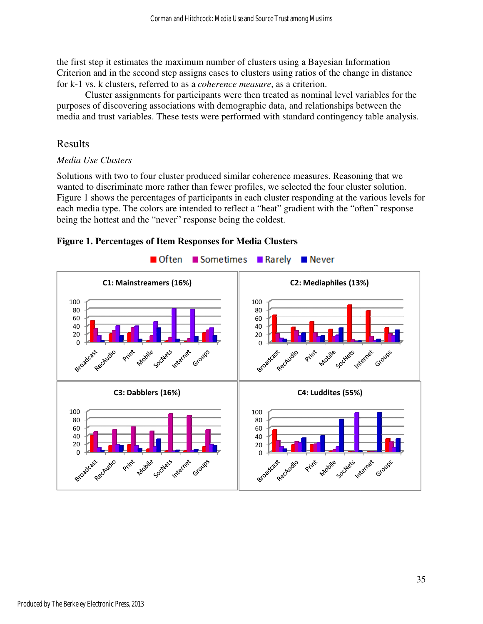the first step it estimates the maximum number of clusters using a Bayesian Information Criterion and in the second step assigns cases to clusters using ratios of the change in distance for k-1 vs. k clusters, referred to as a *coherence measure*, as a criterion.

Cluster assignments for participants were then treated as nominal level variables for the Cluster assignments for participants were then treated as nominal level variables for purposes of discovering associations with demographic data, and relationships between the purposes of discovering associations with demographic data, and relationships between the media and trust variables. These tests were performed with standard contingency table analysis.

## Results

#### *Media Use Clusters*

Solutions with two to four cluster produced similar coherence measures. Reasoning that we wanted to discriminate more rather than fewer profiles, we selected the four cluster solution. Figure 1 shows the percentages of participants in each cluster responding at the various levels for each media type. The colors are intended to reflect a "heat" gradient with the "often" response being the hottest and the "never" response being the coldest. being the hottest and the "never" response being the coldest.



#### **Figure 1. Percentages of Item Responses for Media Clusters Clusters**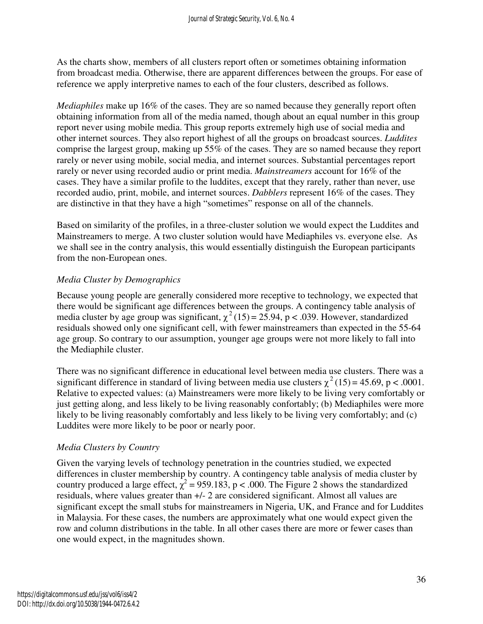As the charts show, members of all clusters report often or sometimes obtaining information from broadcast media. Otherwise, there are apparent differences between the groups. For ease of reference we apply interpretive names to each of the four clusters, described as follows.

*Mediaphiles* make up 16% of the cases. They are so named because they generally report often obtaining information from all of the media named, though about an equal number in this group report never using mobile media. This group reports extremely high use of social media and other internet sources. They also report highest of all the groups on broadcast sources. *Luddites* comprise the largest group, making up 55% of the cases. They are so named because they report rarely or never using mobile, social media, and internet sources. Substantial percentages report rarely or never using recorded audio or print media. *Mainstreamers* account for 16% of the cases. They have a similar profile to the luddites, except that they rarely, rather than never, use recorded audio, print, mobile, and internet sources. *Dabblers* represent 16% of the cases. They are distinctive in that they have a high "sometimes" response on all of the channels.

Based on similarity of the profiles, in a three-cluster solution we would expect the Luddites and Mainstreamers to merge. A two cluster solution would have Mediaphiles vs. everyone else. As we shall see in the contry analysis, this would essentially distinguish the European participants from the non-European ones.

#### *Media Cluster by Demographics*

Because young people are generally considered more receptive to technology, we expected that there would be significant age differences between the groups. A contingency table analysis of media cluster by age group was significant,  $\chi^2(15) = 25.94$ , p < .039. However, standardized residuals showed only one significant cell, with fewer mainstreamers than expected in the 55-64 age group. So contrary to our assumption, younger age groups were not more likely to fall into the Mediaphile cluster.

There was no significant difference in educational level between media use clusters. There was a significant difference in standard of living between media use clusters  $\chi^2(15) = 45.69$ , p < .0001. Relative to expected values: (a) Mainstreamers were more likely to be living very comfortably or just getting along, and less likely to be living reasonably confortably; (b) Mediaphiles were more likely to be living reasonably comfortably and less likely to be living very comfortably; and (c) Luddites were more likely to be poor or nearly poor.

#### *Media Clusters by Country*

Given the varying levels of technology penetration in the countries studied, we expected differences in cluster membership by country. A contingency table analysis of media cluster by country produced a large effect,  $\chi^2$  = 959.183, p < .000. The Figure 2 shows the standardized residuals, where values greater than +/- 2 are considered significant. Almost all values are significant except the small stubs for mainstreamers in Nigeria, UK, and France and for Luddites in Malaysia. For these cases, the numbers are approximately what one would expect given the row and column distributions in the table. In all other cases there are more or fewer cases than one would expect, in the magnitudes shown.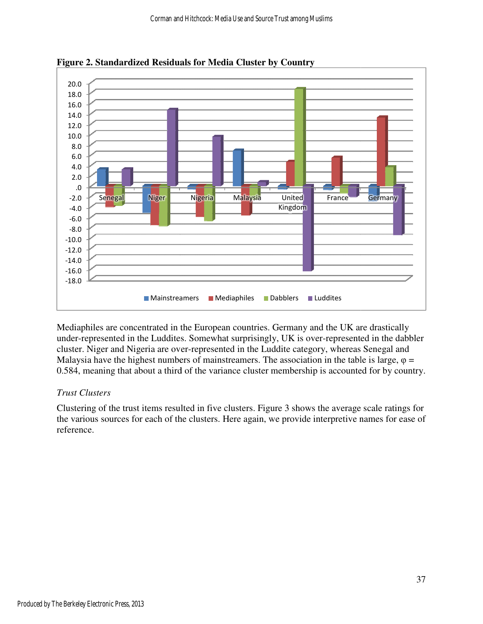

**Figure 2. Standardized Residuals for Media Cluster by Country** 

Mediaphiles are concentrated in the European countries. Germany and the UK are drastically under-represented in the Luddites. Somewhat surprisingly, UK is over-represented in the dabbler cluster. Niger and Nigeria are over-represented in the Luddite category, whereas Senegal and cluster. Niger and Nigeria are over-represented in the Luddite category, whereas Senegal and Malaysia have the highest numbers of mainstreamers. The association in the table is large,  $\varphi$  = 0.584, meaning that about a third of the variance cluster membership is accounted for by country.

## *Trust Clusters*

Clustering of the trust items resulted in five clusters. Figure 3 shows the average scale ratings for the various sources for each of the clusters. Here again, we provide interpretive names for ease of reference.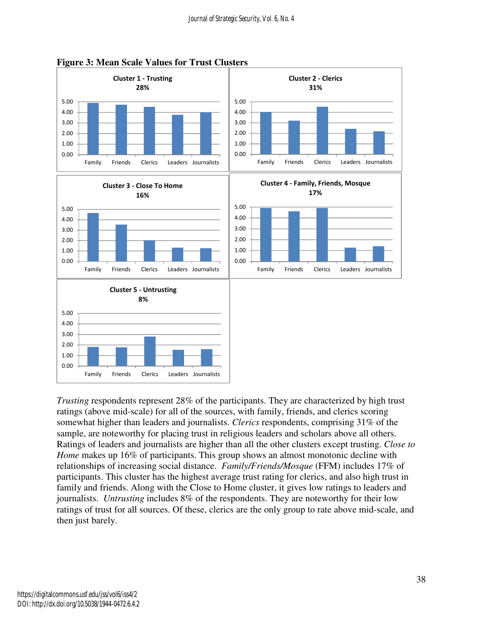



*Trusting* respondents represent 28% of the participants. They are characterized by high trust ratings (above mid-scale) for all of the sources, with family, friends, and clerics scoring somewhat higher than leaders and journalists. *Clerics* respondents, comprising 31% of the sample, are noteworthy for placing trust in religious leaders and scholars above all others. Ratings of leaders and journalists are higher than all the other clusters except trusting. *Close to Home* makes up 16% of participants. This group shows an almost monotonic decline with relationships of increasing social distance. *Family/Friends/Mosque* (FFM) includes 17% of participants. This cluster has the highest average trust rating for clerics, and also high trust in family and friends. Along with the Close to Home cluster, it gives low ratings to leaders and journalists. *Untrusting* includes 8% of the respondents. They are noteworthy for their low ratings of trust for all sources. Of these, clerics are the only group to rate above mid-scale, and then just barely.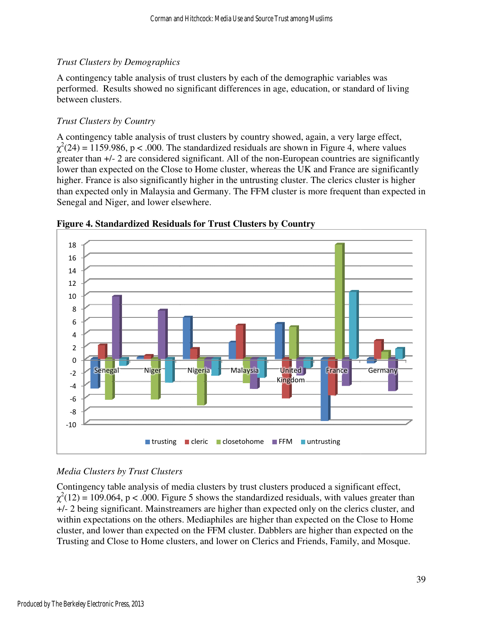#### *Trust Clusters by Demographics*

A contingency table analysis of trust clusters by each of the demographic variables was performed. Results showed no significant differences in age, education, or standard of living between clusters. performed. Results showed no significant differences in age, education, or standard of livin<br>between clusters.<br>Trust Clusters by Country<br>A contingency table analysis of trust clusters by country showed, again, a very large

#### *Trust Clusters by Country*

 $\chi^2(24) = 1159.986$ , p < .000. The standardized residuals are shown in Figure 4, where values greater than  $+/- 2$  are considered significant. All of the non-European countries are significantly lower than expected on the Close to Home cluster, whereas the UK and France are significantly lower than expected on the Close to Home cluster, whereas the UK and France are significantly higher. France is also significantly higher in the untrusting cluster. The clerics cluster is higher than expected only in Malaysia and Germany. The FFM cluster is more frequent than expected in Senegal and Niger, and lower elsewhere. shown in Figure 4, where values<br>European countries are significantly<br>the UK and France are significantly



**Figure 4. Standardized Residuals for Trust Clusters by Country**

#### *Media Clusters by Trust Clusters Clusters*

Contingency table analysis of media clusters by trust clusters produced a significant effect, Contingency table analysis of media clusters by trust clusters produced a significant effect,<br> $\chi^2(12) = 109.064$ , p < .000. Figure 5 shows the standardized residuals, with values greater than +/- 2 being significant. Mainstreamers are higher than expected only on the clerics cluster, and +/- 2 being significant. Mainstreamers are higher than expected only on the clerics cluster, and within expectations on the others. Mediaphiles are higher than expected on the Close to Home cluster, and lower than expected on the FFM cluster. Dabblers are higher than expected on the Trusting and Close to Home clusters, and lower on Clerics and Friends, Family, and Mosque.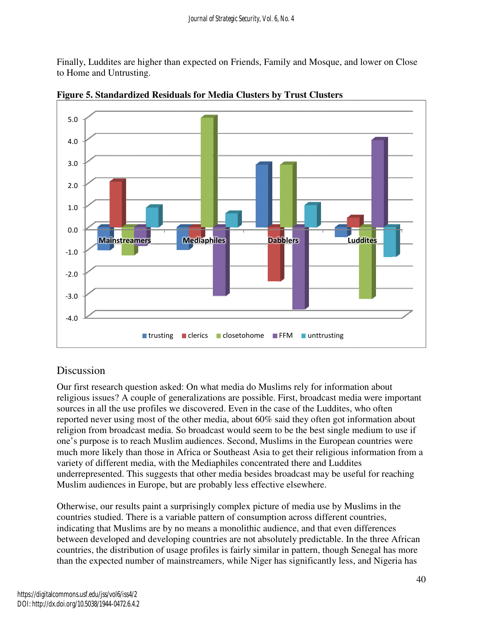Finally, Luddites are higher than expected on Friends, Family and Mosque, and lower on Close to Home and Untrusting.



**Figure 5. Standardized Residuals for Media Clusters by Trust Clusters for Media** 

# **Discussion**

Our first research question asked: On what media do Muslims rely for information about Our first research question asked: On what media do Muslims rely for information about<br>religious issues? A couple of generalizations are possible. First, broadcast media were important sources in all the use profiles we discovered. Even in the case of the Luddites, who often reported never using most of the other media, about 60% said they often got information about reported never using most of the other media, about 60% said they often got information about<br>religion from broadcast media. So broadcast would seem to be the best single medium to use if one's purpose is to reach Muslim audiences. Second, Muslims in the European countries were much more likely than those in Africa or Southeast Asia to get their religious information from a variety of different media, with the Mediaphiles concentrated there and Luddites underrepresented. This suggests that other media besides broadcast may be useful for reaching Muslim audiences in Europe, but are probably less effective elsewhere. much more likely than those in Africa or Southeast Asia to get their religious variety of different media, with the Mediaphiles concentrated there and Ludunderrepresented. This suggests that other media besides broadcast m

Otherwise, our results paint a surprisingly complex picture of media use by Muslims in the countries studied. There is a variable pattern of consumption across different countries, indicating that Muslims are by no means a monolithic audience, and that even differences indicating that Muslims are by no means a monolithic audience, and that even differences<br>between developed and developing countries are not absolutely predictable. In the three African countries, the distribution of usage profiles is fairly similar in pattern, though Senegal has more than the expected number of mainstreamers, while Niger has significantly less, and Nigeria has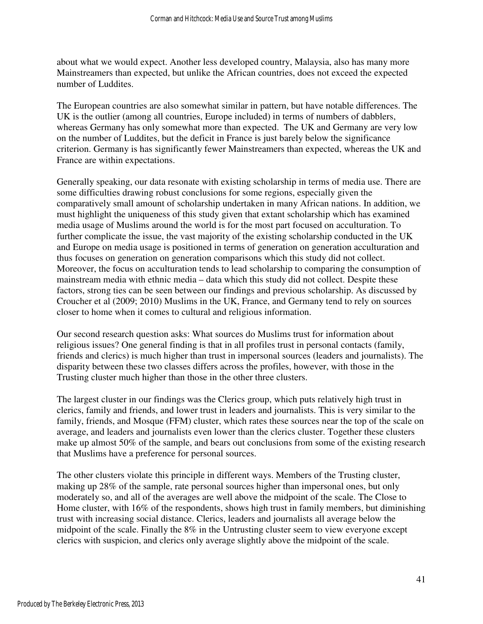about what we would expect. Another less developed country, Malaysia, also has many more Mainstreamers than expected, but unlike the African countries, does not exceed the expected number of Luddites.

The European countries are also somewhat similar in pattern, but have notable differences. The UK is the outlier (among all countries, Europe included) in terms of numbers of dabblers, whereas Germany has only somewhat more than expected. The UK and Germany are very low on the number of Luddites, but the deficit in France is just barely below the significance criterion. Germany is has significantly fewer Mainstreamers than expected, whereas the UK and France are within expectations.

Generally speaking, our data resonate with existing scholarship in terms of media use. There are some difficulties drawing robust conclusions for some regions, especially given the comparatively small amount of scholarship undertaken in many African nations. In addition, we must highlight the uniqueness of this study given that extant scholarship which has examined media usage of Muslims around the world is for the most part focused on acculturation. To further complicate the issue, the vast majority of the existing scholarship conducted in the UK and Europe on media usage is positioned in terms of generation on generation acculturation and thus focuses on generation on generation comparisons which this study did not collect. Moreover, the focus on acculturation tends to lead scholarship to comparing the consumption of mainstream media with ethnic media – data which this study did not collect. Despite these factors, strong ties can be seen between our findings and previous scholarship. As discussed by Croucher et al (2009; 2010) Muslims in the UK, France, and Germany tend to rely on sources closer to home when it comes to cultural and religious information.

Our second research question asks: What sources do Muslims trust for information about religious issues? One general finding is that in all profiles trust in personal contacts (family, friends and clerics) is much higher than trust in impersonal sources (leaders and journalists). The disparity between these two classes differs across the profiles, however, with those in the Trusting cluster much higher than those in the other three clusters.

The largest cluster in our findings was the Clerics group, which puts relatively high trust in clerics, family and friends, and lower trust in leaders and journalists. This is very similar to the family, friends, and Mosque (FFM) cluster, which rates these sources near the top of the scale on average, and leaders and journalists even lower than the clerics cluster. Together these clusters make up almost 50% of the sample, and bears out conclusions from some of the existing research that Muslims have a preference for personal sources.

The other clusters violate this principle in different ways. Members of the Trusting cluster, making up 28% of the sample, rate personal sources higher than impersonal ones, but only moderately so, and all of the averages are well above the midpoint of the scale. The Close to Home cluster, with 16% of the respondents, shows high trust in family members, but diminishing trust with increasing social distance. Clerics, leaders and journalists all average below the midpoint of the scale. Finally the 8% in the Untrusting cluster seem to view everyone except clerics with suspicion, and clerics only average slightly above the midpoint of the scale.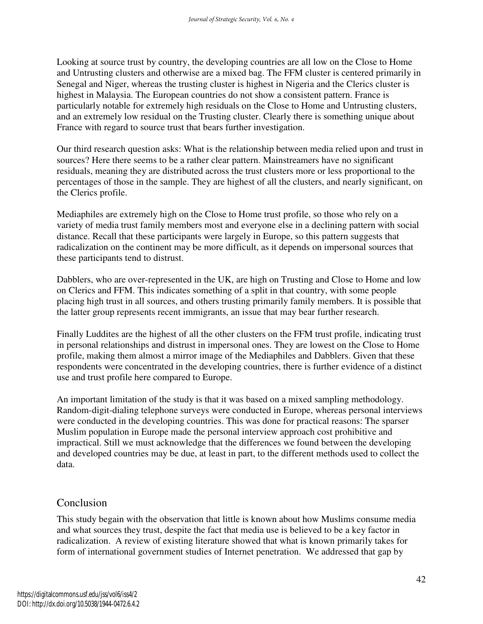Looking at source trust by country, the developing countries are all low on the Close to Home and Untrusting clusters and otherwise are a mixed bag. The FFM cluster is centered primarily in Senegal and Niger, whereas the trusting cluster is highest in Nigeria and the Clerics cluster is highest in Malaysia. The European countries do not show a consistent pattern. France is particularly notable for extremely high residuals on the Close to Home and Untrusting clusters, and an extremely low residual on the Trusting cluster. Clearly there is something unique about France with regard to source trust that bears further investigation.

Our third research question asks: What is the relationship between media relied upon and trust in sources? Here there seems to be a rather clear pattern. Mainstreamers have no significant residuals, meaning they are distributed across the trust clusters more or less proportional to the percentages of those in the sample. They are highest of all the clusters, and nearly significant, on the Clerics profile.

Mediaphiles are extremely high on the Close to Home trust profile, so those who rely on a variety of media trust family members most and everyone else in a declining pattern with social distance. Recall that these participants were largely in Europe, so this pattern suggests that radicalization on the continent may be more difficult, as it depends on impersonal sources that these participants tend to distrust.

Dabblers, who are over-represented in the UK, are high on Trusting and Close to Home and low on Clerics and FFM. This indicates something of a split in that country, with some people placing high trust in all sources, and others trusting primarily family members. It is possible that the latter group represents recent immigrants, an issue that may bear further research.

Finally Luddites are the highest of all the other clusters on the FFM trust profile, indicating trust in personal relationships and distrust in impersonal ones. They are lowest on the Close to Home profile, making them almost a mirror image of the Mediaphiles and Dabblers. Given that these respondents were concentrated in the developing countries, there is further evidence of a distinct use and trust profile here compared to Europe.

An important limitation of the study is that it was based on a mixed sampling methodology. Random-digit-dialing telephone surveys were conducted in Europe, whereas personal interviews were conducted in the developing countries. This was done for practical reasons: The sparser Muslim population in Europe made the personal interview approach cost prohibitive and impractical. Still we must acknowledge that the differences we found between the developing and developed countries may be due, at least in part, to the different methods used to collect the data.

## Conclusion

This study begain with the observation that little is known about how Muslims consume media and what sources they trust, despite the fact that media use is believed to be a key factor in radicalization. A review of existing literature showed that what is known primarily takes for form of international government studies of Internet penetration. We addressed that gap by